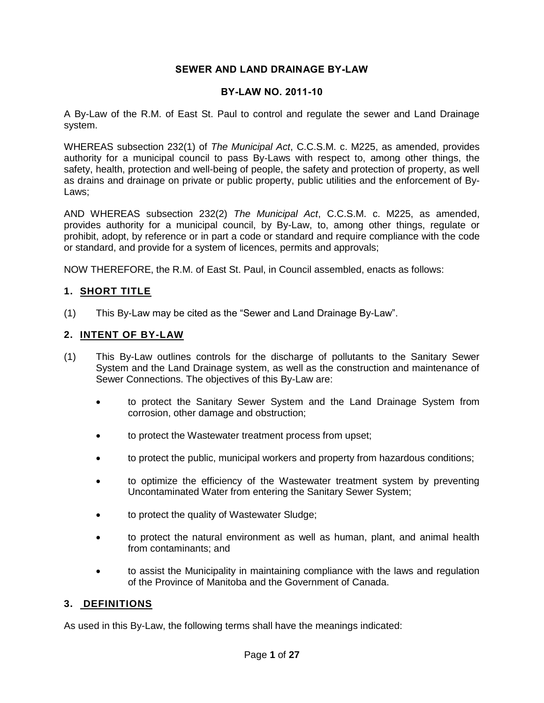# **SEWER AND LAND DRAINAGE BY-LAW**

#### **BY-LAW NO. 2011-10**

A By-Law of the R.M. of East St. Paul to control and regulate the sewer and Land Drainage system.

WHEREAS subsection 232(1) of *The Municipal Act*, C.C.S.M. c. M225, as amended, provides authority for a municipal council to pass By-Laws with respect to, among other things, the safety, health, protection and well-being of people, the safety and protection of property, as well as drains and drainage on private or public property, public utilities and the enforcement of By-Laws;

AND WHEREAS subsection 232(2) *The Municipal Act*, C.C.S.M. c. M225, as amended, provides authority for a municipal council, by By-Law, to, among other things, regulate or prohibit, adopt, by reference or in part a code or standard and require compliance with the code or standard, and provide for a system of licences, permits and approvals;

NOW THEREFORE, the R.M. of East St. Paul, in Council assembled, enacts as follows:

# **1. SHORT TITLE**

(1) This By-Law may be cited as the "Sewer and Land Drainage By-Law".

#### **2. INTENT OF BY-LAW**

- (1) This By-Law outlines controls for the discharge of pollutants to the Sanitary Sewer System and the Land Drainage system, as well as the construction and maintenance of Sewer Connections. The objectives of this By-Law are:
	- to protect the Sanitary Sewer System and the Land Drainage System from corrosion, other damage and obstruction;
	- to protect the Wastewater treatment process from upset;
	- to protect the public, municipal workers and property from hazardous conditions;
	- to optimize the efficiency of the Wastewater treatment system by preventing Uncontaminated Water from entering the Sanitary Sewer System;
	- to protect the quality of Wastewater Sludge;
	- to protect the natural environment as well as human, plant, and animal health from contaminants; and
	- to assist the Municipality in maintaining compliance with the laws and regulation of the Province of Manitoba and the Government of Canada.

#### **3. DEFINITIONS**

As used in this By-Law, the following terms shall have the meanings indicated: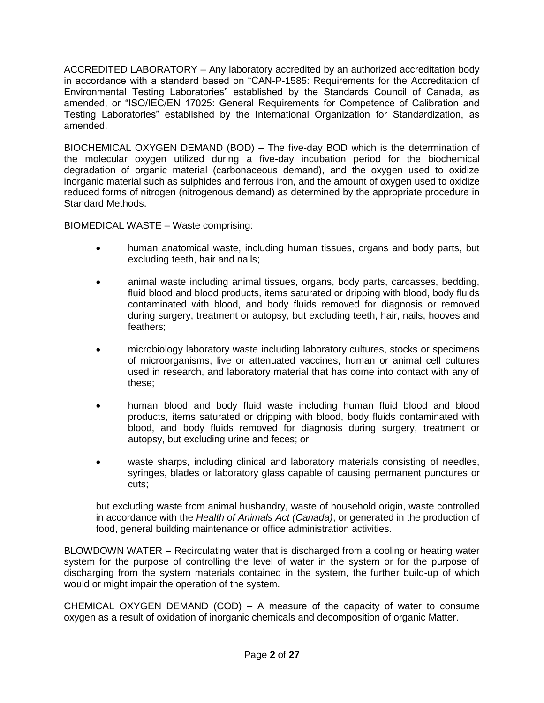ACCREDITED LABORATORY – Any laboratory accredited by an authorized accreditation body in accordance with a standard based on "CAN-P-1585: Requirements for the Accreditation of Environmental Testing Laboratories" established by the Standards Council of Canada, as amended, or "ISO/IEC/EN 17025: General Requirements for Competence of Calibration and Testing Laboratories" established by the International Organization for Standardization, as amended.

BIOCHEMICAL OXYGEN DEMAND (BOD) – The five-day BOD which is the determination of the molecular oxygen utilized during a five-day incubation period for the biochemical degradation of organic material (carbonaceous demand), and the oxygen used to oxidize inorganic material such as sulphides and ferrous iron, and the amount of oxygen used to oxidize reduced forms of nitrogen (nitrogenous demand) as determined by the appropriate procedure in Standard Methods.

BIOMEDICAL WASTE – Waste comprising:

- human anatomical waste, including human tissues, organs and body parts, but excluding teeth, hair and nails;
- animal waste including animal tissues, organs, body parts, carcasses, bedding, fluid blood and blood products, items saturated or dripping with blood, body fluids contaminated with blood, and body fluids removed for diagnosis or removed during surgery, treatment or autopsy, but excluding teeth, hair, nails, hooves and feathers;
- microbiology laboratory waste including laboratory cultures, stocks or specimens of microorganisms, live or attenuated vaccines, human or animal cell cultures used in research, and laboratory material that has come into contact with any of these;
- human blood and body fluid waste including human fluid blood and blood products, items saturated or dripping with blood, body fluids contaminated with blood, and body fluids removed for diagnosis during surgery, treatment or autopsy, but excluding urine and feces; or
- waste sharps, including clinical and laboratory materials consisting of needles, syringes, blades or laboratory glass capable of causing permanent punctures or cuts;

but excluding waste from animal husbandry, waste of household origin, waste controlled in accordance with the *Health of Animals Act (Canada)*, or generated in the production of food, general building maintenance or office administration activities.

BLOWDOWN WATER – Recirculating water that is discharged from a cooling or heating water system for the purpose of controlling the level of water in the system or for the purpose of discharging from the system materials contained in the system, the further build-up of which would or might impair the operation of the system.

CHEMICAL OXYGEN DEMAND (COD) – A measure of the capacity of water to consume oxygen as a result of oxidation of inorganic chemicals and decomposition of organic Matter.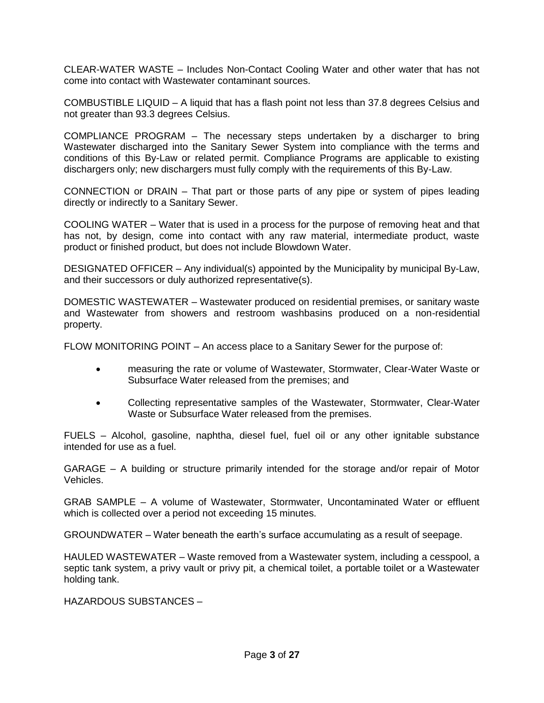CLEAR-WATER WASTE – Includes Non-Contact Cooling Water and other water that has not come into contact with Wastewater contaminant sources.

COMBUSTIBLE LIQUID – A liquid that has a flash point not less than 37.8 degrees Celsius and not greater than 93.3 degrees Celsius.

COMPLIANCE PROGRAM – The necessary steps undertaken by a discharger to bring Wastewater discharged into the Sanitary Sewer System into compliance with the terms and conditions of this By-Law or related permit. Compliance Programs are applicable to existing dischargers only; new dischargers must fully comply with the requirements of this By-Law.

CONNECTION or DRAIN – That part or those parts of any pipe or system of pipes leading directly or indirectly to a Sanitary Sewer.

COOLING WATER – Water that is used in a process for the purpose of removing heat and that has not, by design, come into contact with any raw material, intermediate product, waste product or finished product, but does not include Blowdown Water.

DESIGNATED OFFICER – Any individual(s) appointed by the Municipality by municipal By-Law, and their successors or duly authorized representative(s).

DOMESTIC WASTEWATER – Wastewater produced on residential premises, or sanitary waste and Wastewater from showers and restroom washbasins produced on a non-residential property.

FLOW MONITORING POINT – An access place to a Sanitary Sewer for the purpose of:

- measuring the rate or volume of Wastewater, Stormwater, Clear-Water Waste or Subsurface Water released from the premises; and
- Collecting representative samples of the Wastewater, Stormwater, Clear-Water Waste or Subsurface Water released from the premises.

FUELS – Alcohol, gasoline, naphtha, diesel fuel, fuel oil or any other ignitable substance intended for use as a fuel.

GARAGE – A building or structure primarily intended for the storage and/or repair of Motor Vehicles.

GRAB SAMPLE – A volume of Wastewater, Stormwater, Uncontaminated Water or effluent which is collected over a period not exceeding 15 minutes.

GROUNDWATER – Water beneath the earth's surface accumulating as a result of seepage.

HAULED WASTEWATER – Waste removed from a Wastewater system, including a cesspool, a septic tank system, a privy vault or privy pit, a chemical toilet, a portable toilet or a Wastewater holding tank.

HAZARDOUS SUBSTANCES –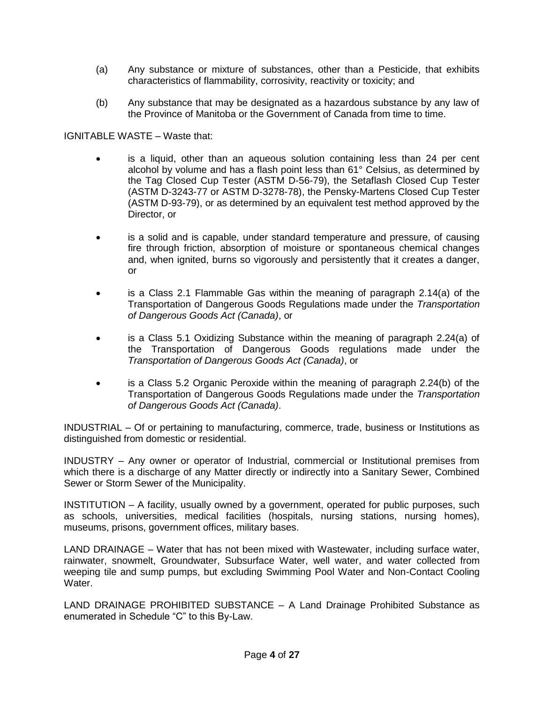- (a) Any substance or mixture of substances, other than a Pesticide, that exhibits characteristics of flammability, corrosivity, reactivity or toxicity; and
- (b) Any substance that may be designated as a hazardous substance by any law of the Province of Manitoba or the Government of Canada from time to time.

IGNITABLE WASTE – Waste that:

- is a liquid, other than an aqueous solution containing less than 24 per cent alcohol by volume and has a flash point less than 61° Celsius, as determined by the Tag Closed Cup Tester (ASTM D-56-79), the Setaflash Closed Cup Tester (ASTM D-3243-77 or ASTM D-3278-78), the Pensky-Martens Closed Cup Tester (ASTM D-93-79), or as determined by an equivalent test method approved by the Director, or
- is a solid and is capable, under standard temperature and pressure, of causing fire through friction, absorption of moisture or spontaneous chemical changes and, when ignited, burns so vigorously and persistently that it creates a danger, or
- is a Class 2.1 Flammable Gas within the meaning of paragraph 2.14(a) of the Transportation of Dangerous Goods Regulations made under the *Transportation of Dangerous Goods Act (Canada)*, or
- is a Class 5.1 Oxidizing Substance within the meaning of paragraph 2.24(a) of the Transportation of Dangerous Goods regulations made under the *Transportation of Dangerous Goods Act (Canada)*, or
- is a Class 5.2 Organic Peroxide within the meaning of paragraph 2.24(b) of the Transportation of Dangerous Goods Regulations made under the *Transportation of Dangerous Goods Act (Canada)*.

INDUSTRIAL – Of or pertaining to manufacturing, commerce, trade, business or Institutions as distinguished from domestic or residential.

INDUSTRY – Any owner or operator of Industrial, commercial or Institutional premises from which there is a discharge of any Matter directly or indirectly into a Sanitary Sewer, Combined Sewer or Storm Sewer of the Municipality.

INSTITUTION – A facility, usually owned by a government, operated for public purposes, such as schools, universities, medical facilities (hospitals, nursing stations, nursing homes), museums, prisons, government offices, military bases.

LAND DRAINAGE – Water that has not been mixed with Wastewater, including surface water, rainwater, snowmelt, Groundwater, Subsurface Water, well water, and water collected from weeping tile and sump pumps, but excluding Swimming Pool Water and Non-Contact Cooling Water.

LAND DRAINAGE PROHIBITED SUBSTANCE – A Land Drainage Prohibited Substance as enumerated in Schedule "C" to this By-Law.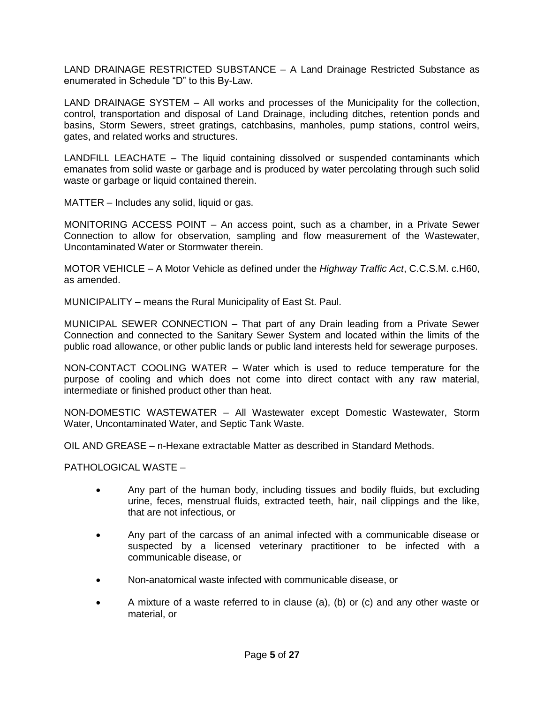LAND DRAINAGE RESTRICTED SUBSTANCE – A Land Drainage Restricted Substance as enumerated in Schedule "D" to this By-Law.

LAND DRAINAGE SYSTEM – All works and processes of the Municipality for the collection, control, transportation and disposal of Land Drainage, including ditches, retention ponds and basins, Storm Sewers, street gratings, catchbasins, manholes, pump stations, control weirs, gates, and related works and structures.

LANDFILL LEACHATE – The liquid containing dissolved or suspended contaminants which emanates from solid waste or garbage and is produced by water percolating through such solid waste or garbage or liquid contained therein.

MATTER – Includes any solid, liquid or gas.

MONITORING ACCESS POINT – An access point, such as a chamber, in a Private Sewer Connection to allow for observation, sampling and flow measurement of the Wastewater, Uncontaminated Water or Stormwater therein.

MOTOR VEHICLE – A Motor Vehicle as defined under the *Highway Traffic Act*, C.C.S.M. c.H60, as amended.

MUNICIPALITY – means the Rural Municipality of East St. Paul.

MUNICIPAL SEWER CONNECTION – That part of any Drain leading from a Private Sewer Connection and connected to the Sanitary Sewer System and located within the limits of the public road allowance, or other public lands or public land interests held for sewerage purposes.

NON-CONTACT COOLING WATER – Water which is used to reduce temperature for the purpose of cooling and which does not come into direct contact with any raw material, intermediate or finished product other than heat.

NON-DOMESTIC WASTEWATER – All Wastewater except Domestic Wastewater, Storm Water, Uncontaminated Water, and Septic Tank Waste.

OIL AND GREASE – n-Hexane extractable Matter as described in Standard Methods.

PATHOLOGICAL WASTE –

- Any part of the human body, including tissues and bodily fluids, but excluding urine, feces, menstrual fluids, extracted teeth, hair, nail clippings and the like, that are not infectious, or
- Any part of the carcass of an animal infected with a communicable disease or suspected by a licensed veterinary practitioner to be infected with a communicable disease, or
- Non-anatomical waste infected with communicable disease, or
- A mixture of a waste referred to in clause (a), (b) or (c) and any other waste or material, or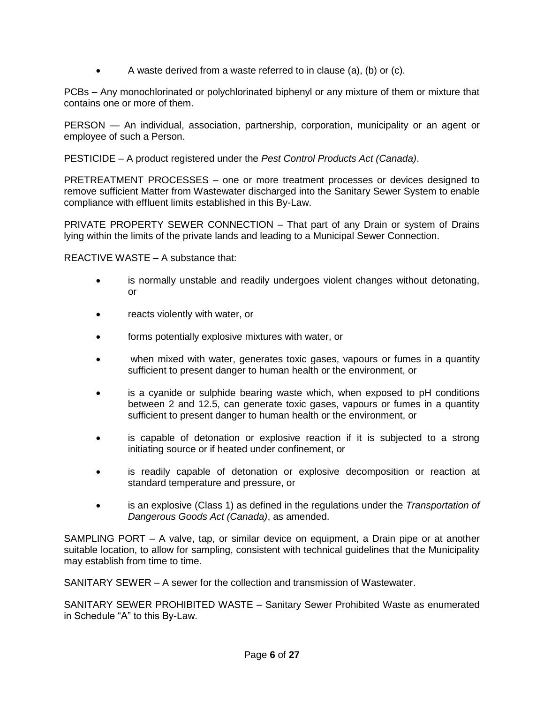$\bullet$  A waste derived from a waste referred to in clause (a), (b) or (c).

PCBs – Any monochlorinated or polychlorinated biphenyl or any mixture of them or mixture that contains one or more of them.

PERSON — An individual, association, partnership, corporation, municipality or an agent or employee of such a Person.

PESTICIDE – A product registered under the *Pest Control Products Act (Canada)*.

PRETREATMENT PROCESSES – one or more treatment processes or devices designed to remove sufficient Matter from Wastewater discharged into the Sanitary Sewer System to enable compliance with effluent limits established in this By-Law.

PRIVATE PROPERTY SEWER CONNECTION – That part of any Drain or system of Drains lying within the limits of the private lands and leading to a Municipal Sewer Connection.

REACTIVE WASTE – A substance that:

- is normally unstable and readily undergoes violent changes without detonating, or
- reacts violently with water, or
- forms potentially explosive mixtures with water, or
- when mixed with water, generates toxic gases, vapours or fumes in a quantity sufficient to present danger to human health or the environment, or
- is a cyanide or sulphide bearing waste which, when exposed to pH conditions between 2 and 12.5, can generate toxic gases, vapours or fumes in a quantity sufficient to present danger to human health or the environment, or
- is capable of detonation or explosive reaction if it is subjected to a strong initiating source or if heated under confinement, or
- is readily capable of detonation or explosive decomposition or reaction at standard temperature and pressure, or
- is an explosive (Class 1) as defined in the regulations under the *Transportation of Dangerous Goods Act (Canada)*, as amended.

SAMPLING PORT – A valve, tap, or similar device on equipment, a Drain pipe or at another suitable location, to allow for sampling, consistent with technical guidelines that the Municipality may establish from time to time.

SANITARY SEWER – A sewer for the collection and transmission of Wastewater.

SANITARY SEWER PROHIBITED WASTE – Sanitary Sewer Prohibited Waste as enumerated in Schedule "A" to this By-Law.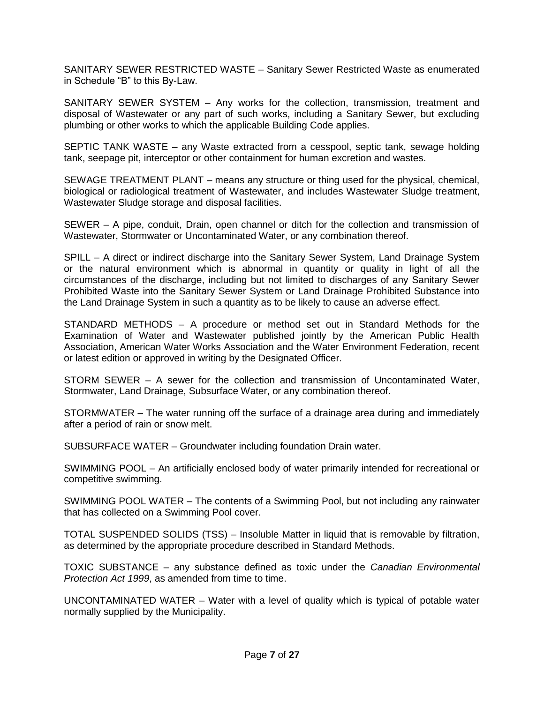SANITARY SEWER RESTRICTED WASTE – Sanitary Sewer Restricted Waste as enumerated in Schedule "B" to this By-Law.

SANITARY SEWER SYSTEM – Any works for the collection, transmission, treatment and disposal of Wastewater or any part of such works, including a Sanitary Sewer, but excluding plumbing or other works to which the applicable Building Code applies.

SEPTIC TANK WASTE – any Waste extracted from a cesspool, septic tank, sewage holding tank, seepage pit, interceptor or other containment for human excretion and wastes.

SEWAGE TREATMENT PLANT – means any structure or thing used for the physical, chemical, biological or radiological treatment of Wastewater, and includes Wastewater Sludge treatment, Wastewater Sludge storage and disposal facilities.

SEWER – A pipe, conduit, Drain, open channel or ditch for the collection and transmission of Wastewater, Stormwater or Uncontaminated Water, or any combination thereof.

SPILL – A direct or indirect discharge into the Sanitary Sewer System, Land Drainage System or the natural environment which is abnormal in quantity or quality in light of all the circumstances of the discharge, including but not limited to discharges of any Sanitary Sewer Prohibited Waste into the Sanitary Sewer System or Land Drainage Prohibited Substance into the Land Drainage System in such a quantity as to be likely to cause an adverse effect.

STANDARD METHODS – A procedure or method set out in Standard Methods for the Examination of Water and Wastewater published jointly by the American Public Health Association, American Water Works Association and the Water Environment Federation, recent or latest edition or approved in writing by the Designated Officer.

STORM SEWER – A sewer for the collection and transmission of Uncontaminated Water, Stormwater, Land Drainage, Subsurface Water, or any combination thereof.

STORMWATER – The water running off the surface of a drainage area during and immediately after a period of rain or snow melt.

SUBSURFACE WATER – Groundwater including foundation Drain water.

SWIMMING POOL – An artificially enclosed body of water primarily intended for recreational or competitive swimming.

SWIMMING POOL WATER – The contents of a Swimming Pool, but not including any rainwater that has collected on a Swimming Pool cover.

TOTAL SUSPENDED SOLIDS (TSS) – Insoluble Matter in liquid that is removable by filtration, as determined by the appropriate procedure described in Standard Methods.

TOXIC SUBSTANCE – any substance defined as toxic under the *Canadian Environmental Protection Act 1999*, as amended from time to time.

UNCONTAMINATED WATER – Water with a level of quality which is typical of potable water normally supplied by the Municipality.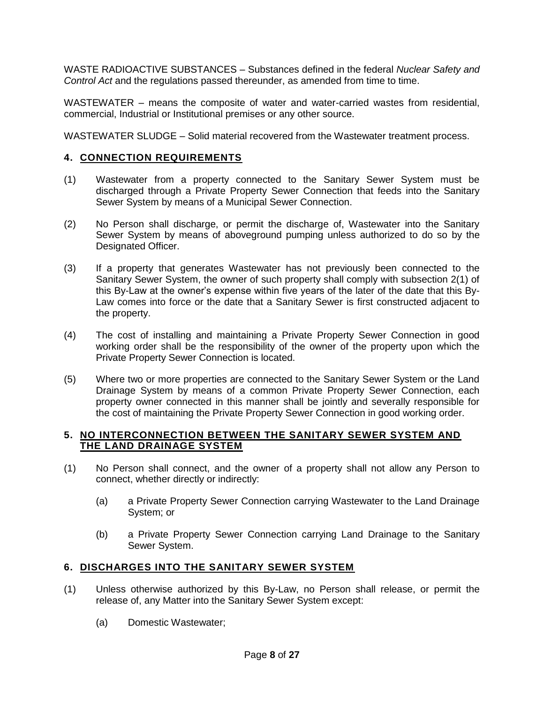WASTE RADIOACTIVE SUBSTANCES – Substances defined in the federal *Nuclear Safety and Control Act* and the regulations passed thereunder, as amended from time to time.

WASTEWATER – means the composite of water and water-carried wastes from residential, commercial, Industrial or Institutional premises or any other source.

WASTEWATER SLUDGE – Solid material recovered from the Wastewater treatment process.

## **4. CONNECTION REQUIREMENTS**

- (1) Wastewater from a property connected to the Sanitary Sewer System must be discharged through a Private Property Sewer Connection that feeds into the Sanitary Sewer System by means of a Municipal Sewer Connection.
- (2) No Person shall discharge, or permit the discharge of, Wastewater into the Sanitary Sewer System by means of aboveground pumping unless authorized to do so by the Designated Officer.
- (3) If a property that generates Wastewater has not previously been connected to the Sanitary Sewer System, the owner of such property shall comply with subsection 2(1) of this By-Law at the owner's expense within five years of the later of the date that this By-Law comes into force or the date that a Sanitary Sewer is first constructed adjacent to the property.
- (4) The cost of installing and maintaining a Private Property Sewer Connection in good working order shall be the responsibility of the owner of the property upon which the Private Property Sewer Connection is located.
- (5) Where two or more properties are connected to the Sanitary Sewer System or the Land Drainage System by means of a common Private Property Sewer Connection, each property owner connected in this manner shall be jointly and severally responsible for the cost of maintaining the Private Property Sewer Connection in good working order.

## **5. NO INTERCONNECTION BETWEEN THE SANITARY SEWER SYSTEM AND THE LAND DRAINAGE SYSTEM**

- (1) No Person shall connect, and the owner of a property shall not allow any Person to connect, whether directly or indirectly:
	- (a) a Private Property Sewer Connection carrying Wastewater to the Land Drainage System; or
	- (b) a Private Property Sewer Connection carrying Land Drainage to the Sanitary Sewer System.

# **6. DISCHARGES INTO THE SANITARY SEWER SYSTEM**

- (1) Unless otherwise authorized by this By-Law, no Person shall release, or permit the release of, any Matter into the Sanitary Sewer System except:
	- (a) Domestic Wastewater;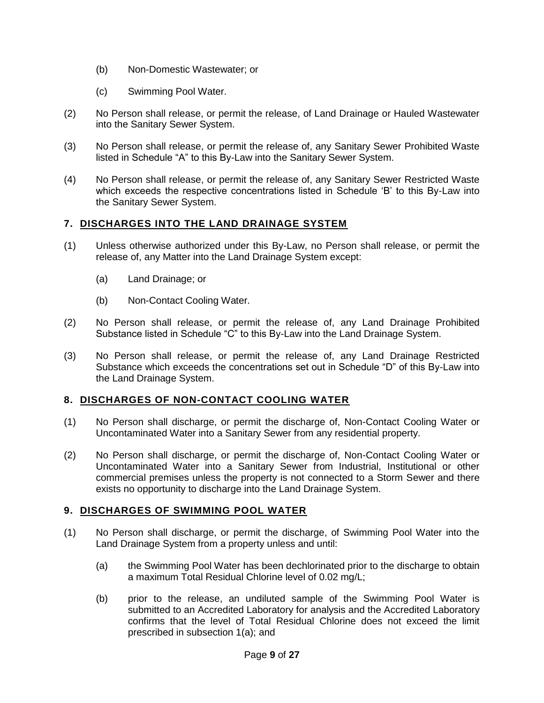- (b) Non-Domestic Wastewater; or
- (c) Swimming Pool Water.
- (2) No Person shall release, or permit the release, of Land Drainage or Hauled Wastewater into the Sanitary Sewer System.
- (3) No Person shall release, or permit the release of, any Sanitary Sewer Prohibited Waste listed in Schedule "A" to this By-Law into the Sanitary Sewer System.
- (4) No Person shall release, or permit the release of, any Sanitary Sewer Restricted Waste which exceeds the respective concentrations listed in Schedule 'B' to this By-Law into the Sanitary Sewer System.

# **7. DISCHARGES INTO THE LAND DRAINAGE SYSTEM**

- (1) Unless otherwise authorized under this By-Law, no Person shall release, or permit the release of, any Matter into the Land Drainage System except:
	- (a) Land Drainage; or
	- (b) Non-Contact Cooling Water.
- (2) No Person shall release, or permit the release of, any Land Drainage Prohibited Substance listed in Schedule "C" to this By-Law into the Land Drainage System.
- (3) No Person shall release, or permit the release of, any Land Drainage Restricted Substance which exceeds the concentrations set out in Schedule "D" of this By-Law into the Land Drainage System.

#### **8. DISCHARGES OF NON-CONTACT COOLING WATER**

- (1) No Person shall discharge, or permit the discharge of, Non-Contact Cooling Water or Uncontaminated Water into a Sanitary Sewer from any residential property.
- (2) No Person shall discharge, or permit the discharge of, Non-Contact Cooling Water or Uncontaminated Water into a Sanitary Sewer from Industrial, Institutional or other commercial premises unless the property is not connected to a Storm Sewer and there exists no opportunity to discharge into the Land Drainage System.

#### **9. DISCHARGES OF SWIMMING POOL WATER**

- (1) No Person shall discharge, or permit the discharge, of Swimming Pool Water into the Land Drainage System from a property unless and until:
	- (a) the Swimming Pool Water has been dechlorinated prior to the discharge to obtain a maximum Total Residual Chlorine level of 0.02 mg/L;
	- (b) prior to the release, an undiluted sample of the Swimming Pool Water is submitted to an Accredited Laboratory for analysis and the Accredited Laboratory confirms that the level of Total Residual Chlorine does not exceed the limit prescribed in subsection 1(a); and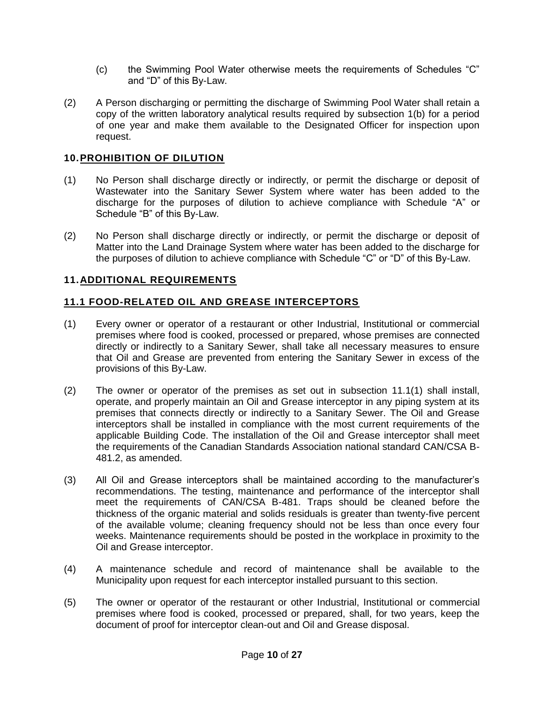- (c) the Swimming Pool Water otherwise meets the requirements of Schedules "C" and "D" of this By-Law.
- (2) A Person discharging or permitting the discharge of Swimming Pool Water shall retain a copy of the written laboratory analytical results required by subsection 1(b) for a period of one year and make them available to the Designated Officer for inspection upon request.

## **10.PROHIBITION OF DILUTION**

- (1) No Person shall discharge directly or indirectly, or permit the discharge or deposit of Wastewater into the Sanitary Sewer System where water has been added to the discharge for the purposes of dilution to achieve compliance with Schedule "A" or Schedule "B" of this By-Law.
- (2) No Person shall discharge directly or indirectly, or permit the discharge or deposit of Matter into the Land Drainage System where water has been added to the discharge for the purposes of dilution to achieve compliance with Schedule "C" or "D" of this By-Law.

## **11.ADDITIONAL REQUIREMENTS**

## **11.1 FOOD-RELATED OIL AND GREASE INTERCEPTORS**

- (1) Every owner or operator of a restaurant or other Industrial, Institutional or commercial premises where food is cooked, processed or prepared, whose premises are connected directly or indirectly to a Sanitary Sewer, shall take all necessary measures to ensure that Oil and Grease are prevented from entering the Sanitary Sewer in excess of the provisions of this By-Law.
- (2) The owner or operator of the premises as set out in subsection 11.1(1) shall install, operate, and properly maintain an Oil and Grease interceptor in any piping system at its premises that connects directly or indirectly to a Sanitary Sewer. The Oil and Grease interceptors shall be installed in compliance with the most current requirements of the applicable Building Code. The installation of the Oil and Grease interceptor shall meet the requirements of the Canadian Standards Association national standard CAN/CSA B-481.2, as amended.
- (3) All Oil and Grease interceptors shall be maintained according to the manufacturer's recommendations. The testing, maintenance and performance of the interceptor shall meet the requirements of CAN/CSA B-481. Traps should be cleaned before the thickness of the organic material and solids residuals is greater than twenty-five percent of the available volume; cleaning frequency should not be less than once every four weeks. Maintenance requirements should be posted in the workplace in proximity to the Oil and Grease interceptor.
- (4) A maintenance schedule and record of maintenance shall be available to the Municipality upon request for each interceptor installed pursuant to this section.
- (5) The owner or operator of the restaurant or other Industrial, Institutional or commercial premises where food is cooked, processed or prepared, shall, for two years, keep the document of proof for interceptor clean-out and Oil and Grease disposal.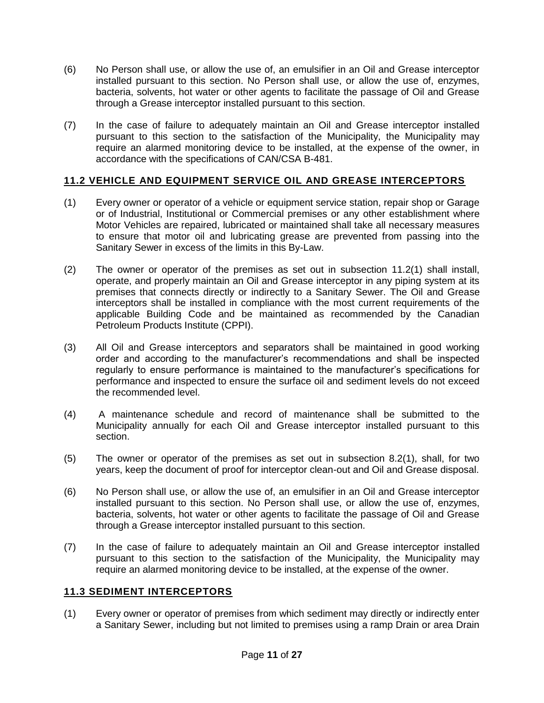- (6) No Person shall use, or allow the use of, an emulsifier in an Oil and Grease interceptor installed pursuant to this section. No Person shall use, or allow the use of, enzymes, bacteria, solvents, hot water or other agents to facilitate the passage of Oil and Grease through a Grease interceptor installed pursuant to this section.
- (7) In the case of failure to adequately maintain an Oil and Grease interceptor installed pursuant to this section to the satisfaction of the Municipality, the Municipality may require an alarmed monitoring device to be installed, at the expense of the owner, in accordance with the specifications of CAN/CSA B-481.

# **11.2 VEHICLE AND EQUIPMENT SERVICE OIL AND GREASE INTERCEPTORS**

- (1) Every owner or operator of a vehicle or equipment service station, repair shop or Garage or of Industrial, Institutional or Commercial premises or any other establishment where Motor Vehicles are repaired, lubricated or maintained shall take all necessary measures to ensure that motor oil and lubricating grease are prevented from passing into the Sanitary Sewer in excess of the limits in this By-Law.
- (2) The owner or operator of the premises as set out in subsection 11.2(1) shall install, operate, and properly maintain an Oil and Grease interceptor in any piping system at its premises that connects directly or indirectly to a Sanitary Sewer. The Oil and Grease interceptors shall be installed in compliance with the most current requirements of the applicable Building Code and be maintained as recommended by the Canadian Petroleum Products Institute (CPPI).
- (3) All Oil and Grease interceptors and separators shall be maintained in good working order and according to the manufacturer's recommendations and shall be inspected regularly to ensure performance is maintained to the manufacturer's specifications for performance and inspected to ensure the surface oil and sediment levels do not exceed the recommended level.
- (4) A maintenance schedule and record of maintenance shall be submitted to the Municipality annually for each Oil and Grease interceptor installed pursuant to this section.
- (5) The owner or operator of the premises as set out in subsection 8.2(1), shall, for two years, keep the document of proof for interceptor clean-out and Oil and Grease disposal.
- (6) No Person shall use, or allow the use of, an emulsifier in an Oil and Grease interceptor installed pursuant to this section. No Person shall use, or allow the use of, enzymes, bacteria, solvents, hot water or other agents to facilitate the passage of Oil and Grease through a Grease interceptor installed pursuant to this section.
- (7) In the case of failure to adequately maintain an Oil and Grease interceptor installed pursuant to this section to the satisfaction of the Municipality, the Municipality may require an alarmed monitoring device to be installed, at the expense of the owner.

#### **11.3 SEDIMENT INTERCEPTORS**

(1) Every owner or operator of premises from which sediment may directly or indirectly enter a Sanitary Sewer, including but not limited to premises using a ramp Drain or area Drain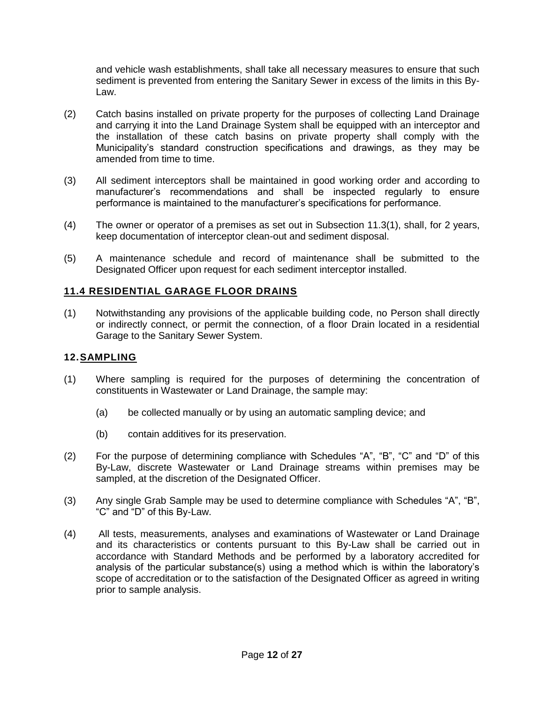and vehicle wash establishments, shall take all necessary measures to ensure that such sediment is prevented from entering the Sanitary Sewer in excess of the limits in this By-Law.

- (2) Catch basins installed on private property for the purposes of collecting Land Drainage and carrying it into the Land Drainage System shall be equipped with an interceptor and the installation of these catch basins on private property shall comply with the Municipality's standard construction specifications and drawings, as they may be amended from time to time.
- (3) All sediment interceptors shall be maintained in good working order and according to manufacturer's recommendations and shall be inspected regularly to ensure performance is maintained to the manufacturer's specifications for performance.
- (4) The owner or operator of a premises as set out in Subsection 11.3(1), shall, for 2 years, keep documentation of interceptor clean-out and sediment disposal.
- (5) A maintenance schedule and record of maintenance shall be submitted to the Designated Officer upon request for each sediment interceptor installed.

## **11.4 RESIDENTIAL GARAGE FLOOR DRAINS**

(1) Notwithstanding any provisions of the applicable building code, no Person shall directly or indirectly connect, or permit the connection, of a floor Drain located in a residential Garage to the Sanitary Sewer System.

#### **12.SAMPLING**

- (1) Where sampling is required for the purposes of determining the concentration of constituents in Wastewater or Land Drainage, the sample may:
	- (a) be collected manually or by using an automatic sampling device; and
	- (b) contain additives for its preservation.
- (2) For the purpose of determining compliance with Schedules "A", "B", "C" and "D" of this By-Law, discrete Wastewater or Land Drainage streams within premises may be sampled, at the discretion of the Designated Officer.
- (3) Any single Grab Sample may be used to determine compliance with Schedules "A", "B", "C" and "D" of this By-Law.
- (4) All tests, measurements, analyses and examinations of Wastewater or Land Drainage and its characteristics or contents pursuant to this By-Law shall be carried out in accordance with Standard Methods and be performed by a laboratory accredited for analysis of the particular substance(s) using a method which is within the laboratory's scope of accreditation or to the satisfaction of the Designated Officer as agreed in writing prior to sample analysis.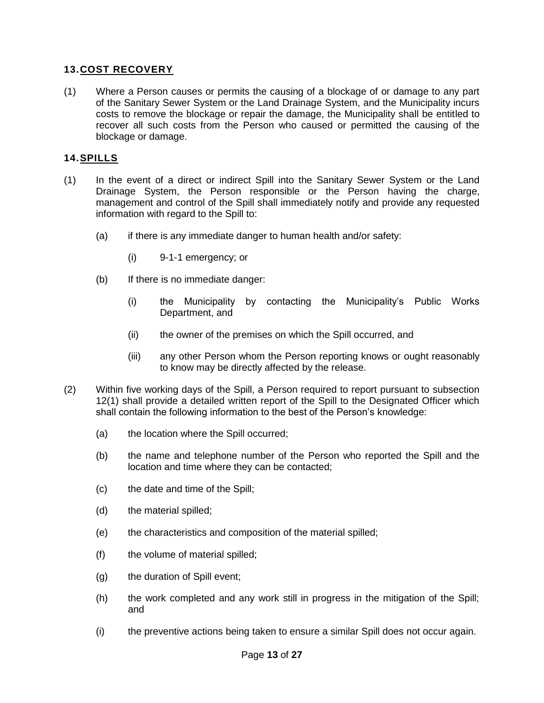# **13.COST RECOVERY**

(1) Where a Person causes or permits the causing of a blockage of or damage to any part of the Sanitary Sewer System or the Land Drainage System, and the Municipality incurs costs to remove the blockage or repair the damage, the Municipality shall be entitled to recover all such costs from the Person who caused or permitted the causing of the blockage or damage.

# **14.SPILLS**

- (1) In the event of a direct or indirect Spill into the Sanitary Sewer System or the Land Drainage System, the Person responsible or the Person having the charge, management and control of the Spill shall immediately notify and provide any requested information with regard to the Spill to:
	- $(a)$  if there is any immediate danger to human health and/or safety:
		- (i) 9-1-1 emergency; or
	- (b) If there is no immediate danger:
		- (i) the Municipality by contacting the Municipality's Public Works Department, and
		- (ii) the owner of the premises on which the Spill occurred, and
		- (iii) any other Person whom the Person reporting knows or ought reasonably to know may be directly affected by the release.
- (2) Within five working days of the Spill, a Person required to report pursuant to subsection 12(1) shall provide a detailed written report of the Spill to the Designated Officer which shall contain the following information to the best of the Person's knowledge:
	- (a) the location where the Spill occurred;
	- (b) the name and telephone number of the Person who reported the Spill and the location and time where they can be contacted;
	- (c) the date and time of the Spill;
	- (d) the material spilled;
	- (e) the characteristics and composition of the material spilled;
	- (f) the volume of material spilled;
	- (g) the duration of Spill event;
	- (h) the work completed and any work still in progress in the mitigation of the Spill; and
	- (i) the preventive actions being taken to ensure a similar Spill does not occur again.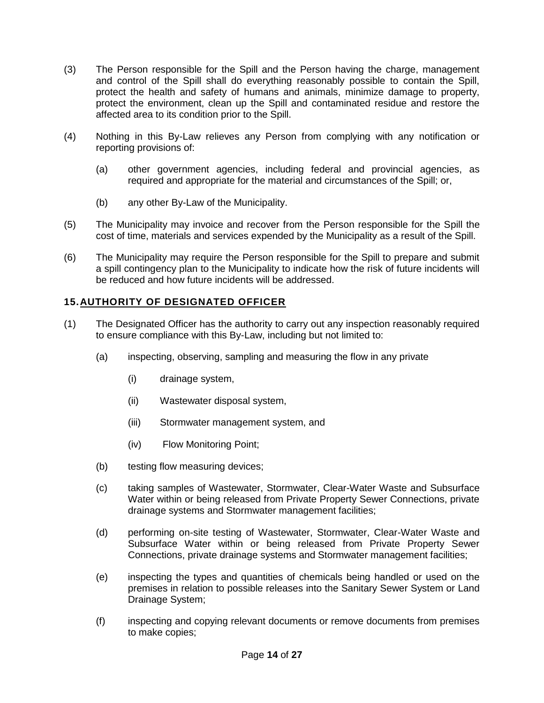- (3) The Person responsible for the Spill and the Person having the charge, management and control of the Spill shall do everything reasonably possible to contain the Spill, protect the health and safety of humans and animals, minimize damage to property, protect the environment, clean up the Spill and contaminated residue and restore the affected area to its condition prior to the Spill.
- (4) Nothing in this By-Law relieves any Person from complying with any notification or reporting provisions of:
	- (a) other government agencies, including federal and provincial agencies, as required and appropriate for the material and circumstances of the Spill; or,
	- (b) any other By-Law of the Municipality.
- (5) The Municipality may invoice and recover from the Person responsible for the Spill the cost of time, materials and services expended by the Municipality as a result of the Spill.
- (6) The Municipality may require the Person responsible for the Spill to prepare and submit a spill contingency plan to the Municipality to indicate how the risk of future incidents will be reduced and how future incidents will be addressed.

# **15.AUTHORITY OF DESIGNATED OFFICER**

- (1) The Designated Officer has the authority to carry out any inspection reasonably required to ensure compliance with this By-Law, including but not limited to:
	- (a) inspecting, observing, sampling and measuring the flow in any private
		- (i) drainage system,
		- (ii) Wastewater disposal system,
		- (iii) Stormwater management system, and
		- (iv) Flow Monitoring Point;
	- (b) testing flow measuring devices;
	- (c) taking samples of Wastewater, Stormwater, Clear-Water Waste and Subsurface Water within or being released from Private Property Sewer Connections, private drainage systems and Stormwater management facilities;
	- (d) performing on-site testing of Wastewater, Stormwater, Clear-Water Waste and Subsurface Water within or being released from Private Property Sewer Connections, private drainage systems and Stormwater management facilities;
	- (e) inspecting the types and quantities of chemicals being handled or used on the premises in relation to possible releases into the Sanitary Sewer System or Land Drainage System;
	- (f) inspecting and copying relevant documents or remove documents from premises to make copies;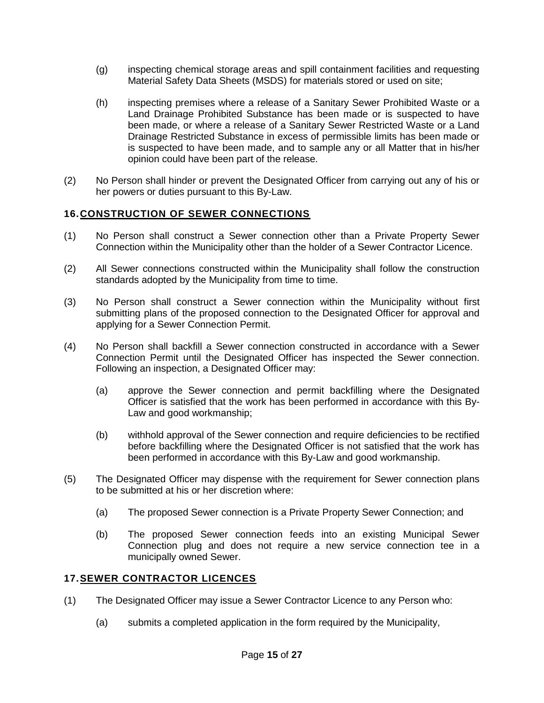- (g) inspecting chemical storage areas and spill containment facilities and requesting Material Safety Data Sheets (MSDS) for materials stored or used on site;
- (h) inspecting premises where a release of a Sanitary Sewer Prohibited Waste or a Land Drainage Prohibited Substance has been made or is suspected to have been made, or where a release of a Sanitary Sewer Restricted Waste or a Land Drainage Restricted Substance in excess of permissible limits has been made or is suspected to have been made, and to sample any or all Matter that in his/her opinion could have been part of the release.
- (2) No Person shall hinder or prevent the Designated Officer from carrying out any of his or her powers or duties pursuant to this By-Law.

## **16.CONSTRUCTION OF SEWER CONNECTIONS**

- (1) No Person shall construct a Sewer connection other than a Private Property Sewer Connection within the Municipality other than the holder of a Sewer Contractor Licence.
- (2) All Sewer connections constructed within the Municipality shall follow the construction standards adopted by the Municipality from time to time.
- (3) No Person shall construct a Sewer connection within the Municipality without first submitting plans of the proposed connection to the Designated Officer for approval and applying for a Sewer Connection Permit.
- (4) No Person shall backfill a Sewer connection constructed in accordance with a Sewer Connection Permit until the Designated Officer has inspected the Sewer connection. Following an inspection, a Designated Officer may:
	- (a) approve the Sewer connection and permit backfilling where the Designated Officer is satisfied that the work has been performed in accordance with this By-Law and good workmanship;
	- (b) withhold approval of the Sewer connection and require deficiencies to be rectified before backfilling where the Designated Officer is not satisfied that the work has been performed in accordance with this By-Law and good workmanship.
- (5) The Designated Officer may dispense with the requirement for Sewer connection plans to be submitted at his or her discretion where:
	- (a) The proposed Sewer connection is a Private Property Sewer Connection; and
	- (b) The proposed Sewer connection feeds into an existing Municipal Sewer Connection plug and does not require a new service connection tee in a municipally owned Sewer.

#### **17.SEWER CONTRACTOR LICENCES**

- (1) The Designated Officer may issue a Sewer Contractor Licence to any Person who:
	- (a) submits a completed application in the form required by the Municipality,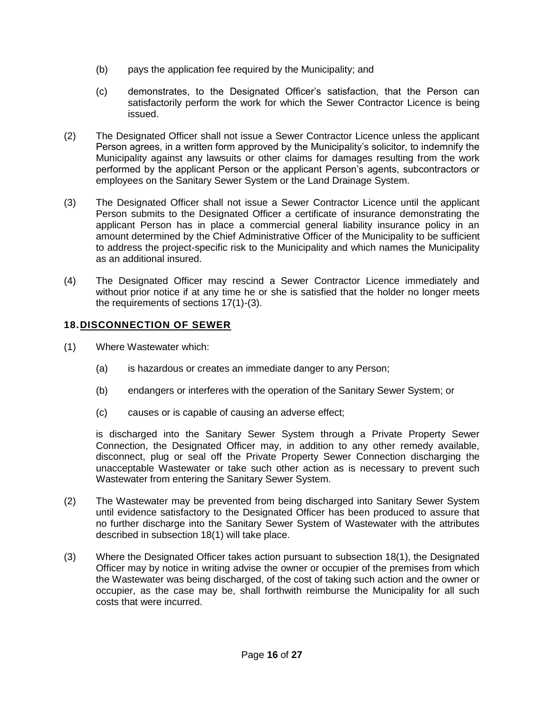- (b) pays the application fee required by the Municipality; and
- (c) demonstrates, to the Designated Officer's satisfaction, that the Person can satisfactorily perform the work for which the Sewer Contractor Licence is being issued.
- (2) The Designated Officer shall not issue a Sewer Contractor Licence unless the applicant Person agrees, in a written form approved by the Municipality's solicitor, to indemnify the Municipality against any lawsuits or other claims for damages resulting from the work performed by the applicant Person or the applicant Person's agents, subcontractors or employees on the Sanitary Sewer System or the Land Drainage System.
- (3) The Designated Officer shall not issue a Sewer Contractor Licence until the applicant Person submits to the Designated Officer a certificate of insurance demonstrating the applicant Person has in place a commercial general liability insurance policy in an amount determined by the Chief Administrative Officer of the Municipality to be sufficient to address the project-specific risk to the Municipality and which names the Municipality as an additional insured.
- (4) The Designated Officer may rescind a Sewer Contractor Licence immediately and without prior notice if at any time he or she is satisfied that the holder no longer meets the requirements of sections 17(1)-(3).

## **18.DISCONNECTION OF SEWER**

- (1) Where Wastewater which:
	- (a) is hazardous or creates an immediate danger to any Person;
	- (b) endangers or interferes with the operation of the Sanitary Sewer System; or
	- (c) causes or is capable of causing an adverse effect;

is discharged into the Sanitary Sewer System through a Private Property Sewer Connection, the Designated Officer may, in addition to any other remedy available, disconnect, plug or seal off the Private Property Sewer Connection discharging the unacceptable Wastewater or take such other action as is necessary to prevent such Wastewater from entering the Sanitary Sewer System.

- (2) The Wastewater may be prevented from being discharged into Sanitary Sewer System until evidence satisfactory to the Designated Officer has been produced to assure that no further discharge into the Sanitary Sewer System of Wastewater with the attributes described in subsection 18(1) will take place.
- (3) Where the Designated Officer takes action pursuant to subsection 18(1), the Designated Officer may by notice in writing advise the owner or occupier of the premises from which the Wastewater was being discharged, of the cost of taking such action and the owner or occupier, as the case may be, shall forthwith reimburse the Municipality for all such costs that were incurred.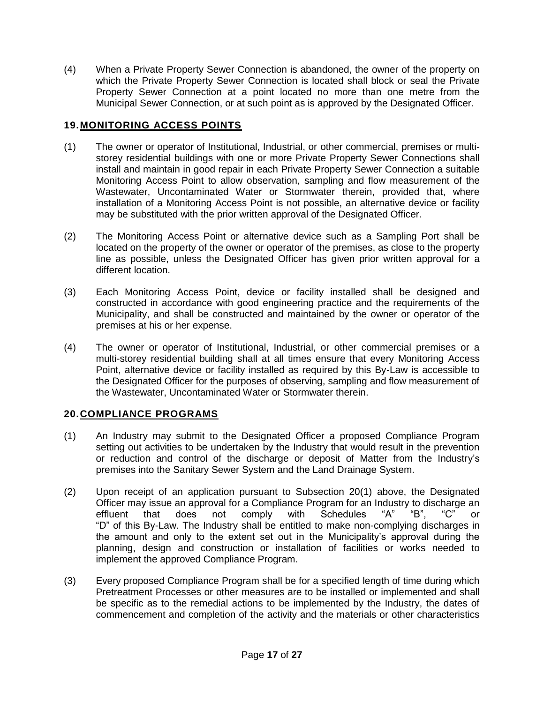(4) When a Private Property Sewer Connection is abandoned, the owner of the property on which the Private Property Sewer Connection is located shall block or seal the Private Property Sewer Connection at a point located no more than one metre from the Municipal Sewer Connection, or at such point as is approved by the Designated Officer.

# **19.MONITORING ACCESS POINTS**

- (1) The owner or operator of Institutional, Industrial, or other commercial, premises or multistorey residential buildings with one or more Private Property Sewer Connections shall install and maintain in good repair in each Private Property Sewer Connection a suitable Monitoring Access Point to allow observation, sampling and flow measurement of the Wastewater, Uncontaminated Water or Stormwater therein, provided that, where installation of a Monitoring Access Point is not possible, an alternative device or facility may be substituted with the prior written approval of the Designated Officer.
- (2) The Monitoring Access Point or alternative device such as a Sampling Port shall be located on the property of the owner or operator of the premises, as close to the property line as possible, unless the Designated Officer has given prior written approval for a different location.
- (3) Each Monitoring Access Point, device or facility installed shall be designed and constructed in accordance with good engineering practice and the requirements of the Municipality, and shall be constructed and maintained by the owner or operator of the premises at his or her expense.
- (4) The owner or operator of Institutional, Industrial, or other commercial premises or a multi-storey residential building shall at all times ensure that every Monitoring Access Point, alternative device or facility installed as required by this By-Law is accessible to the Designated Officer for the purposes of observing, sampling and flow measurement of the Wastewater, Uncontaminated Water or Stormwater therein.

# **20.COMPLIANCE PROGRAMS**

- (1) An Industry may submit to the Designated Officer a proposed Compliance Program setting out activities to be undertaken by the Industry that would result in the prevention or reduction and control of the discharge or deposit of Matter from the Industry's premises into the Sanitary Sewer System and the Land Drainage System.
- (2) Upon receipt of an application pursuant to Subsection 20(1) above, the Designated Officer may issue an approval for a Compliance Program for an Industry to discharge an effluent that does not comply with Schedules "A" "B", "C" or "D" of this By-Law. The Industry shall be entitled to make non-complying discharges in the amount and only to the extent set out in the Municipality's approval during the planning, design and construction or installation of facilities or works needed to implement the approved Compliance Program.
- (3) Every proposed Compliance Program shall be for a specified length of time during which Pretreatment Processes or other measures are to be installed or implemented and shall be specific as to the remedial actions to be implemented by the Industry, the dates of commencement and completion of the activity and the materials or other characteristics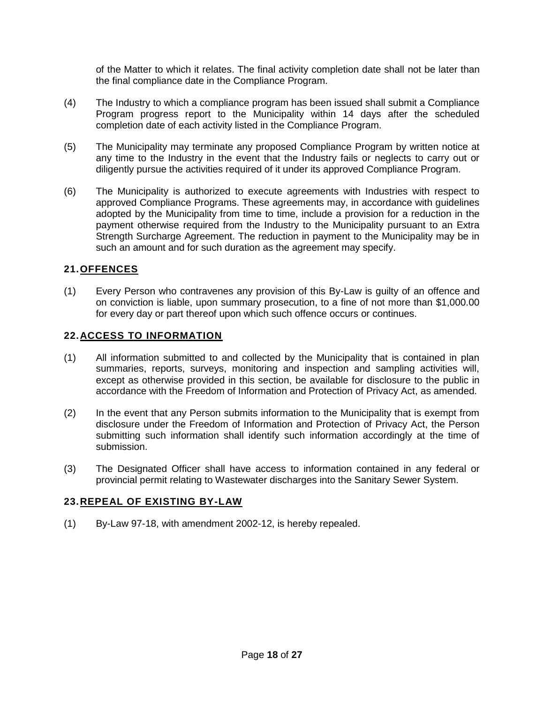of the Matter to which it relates. The final activity completion date shall not be later than the final compliance date in the Compliance Program.

- (4) The Industry to which a compliance program has been issued shall submit a Compliance Program progress report to the Municipality within 14 days after the scheduled completion date of each activity listed in the Compliance Program.
- (5) The Municipality may terminate any proposed Compliance Program by written notice at any time to the Industry in the event that the Industry fails or neglects to carry out or diligently pursue the activities required of it under its approved Compliance Program.
- (6) The Municipality is authorized to execute agreements with Industries with respect to approved Compliance Programs. These agreements may, in accordance with guidelines adopted by the Municipality from time to time, include a provision for a reduction in the payment otherwise required from the Industry to the Municipality pursuant to an Extra Strength Surcharge Agreement. The reduction in payment to the Municipality may be in such an amount and for such duration as the agreement may specify.

## **21.OFFENCES**

(1) Every Person who contravenes any provision of this By-Law is guilty of an offence and on conviction is liable, upon summary prosecution, to a fine of not more than \$1,000.00 for every day or part thereof upon which such offence occurs or continues.

## **22.ACCESS TO INFORMATION**

- (1) All information submitted to and collected by the Municipality that is contained in plan summaries, reports, surveys, monitoring and inspection and sampling activities will, except as otherwise provided in this section, be available for disclosure to the public in accordance with the Freedom of Information and Protection of Privacy Act, as amended.
- (2) In the event that any Person submits information to the Municipality that is exempt from disclosure under the Freedom of Information and Protection of Privacy Act, the Person submitting such information shall identify such information accordingly at the time of submission.
- (3) The Designated Officer shall have access to information contained in any federal or provincial permit relating to Wastewater discharges into the Sanitary Sewer System.

# **23.REPEAL OF EXISTING BY-LAW**

(1) By-Law 97-18, with amendment 2002-12, is hereby repealed.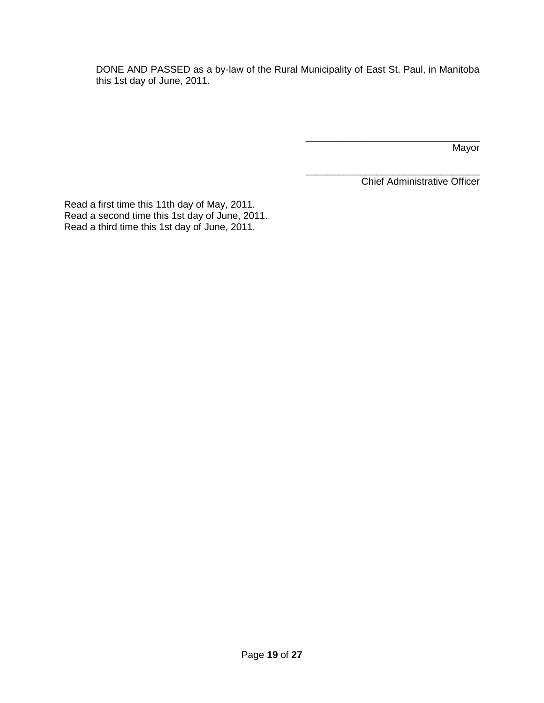DONE AND PASSED as a by-law of the Rural Municipality of East St. Paul, in Manitoba this 1st day of June, 2011.

Mayor

\_\_\_\_\_\_\_\_\_\_\_\_\_\_\_\_\_\_\_\_\_\_\_\_\_\_\_\_\_\_\_\_ Chief Administrative Officer

\_\_\_\_\_\_\_\_\_\_\_\_\_\_\_\_\_\_\_\_\_\_\_\_\_\_\_\_\_\_\_\_

Read a first time this 11th day of May, 2011. Read a second time this 1st day of June, 2011. Read a third time this 1st day of June, 2011.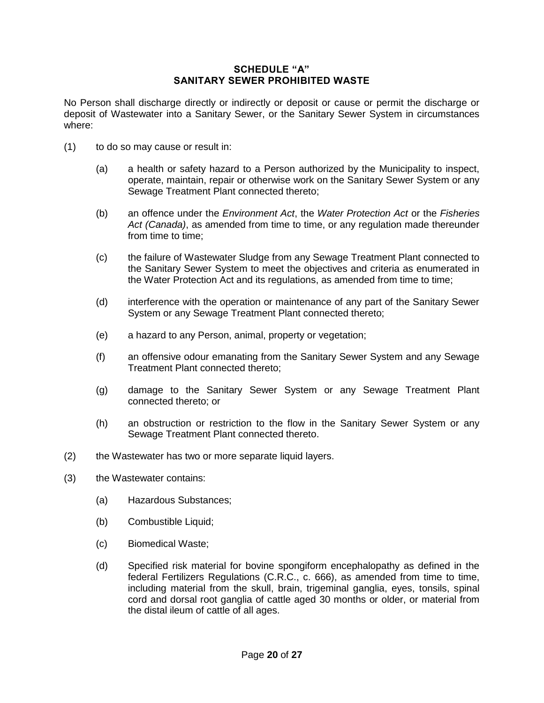#### **SCHEDULE "A" SANITARY SEWER PROHIBITED WASTE**

No Person shall discharge directly or indirectly or deposit or cause or permit the discharge or deposit of Wastewater into a Sanitary Sewer, or the Sanitary Sewer System in circumstances where:

- (1) to do so may cause or result in:
	- (a) a health or safety hazard to a Person authorized by the Municipality to inspect, operate, maintain, repair or otherwise work on the Sanitary Sewer System or any Sewage Treatment Plant connected thereto;
	- (b) an offence under the *Environment Act*, the *Water Protection Act* or the *Fisheries Act (Canada)*, as amended from time to time, or any regulation made thereunder from time to time;
	- (c) the failure of Wastewater Sludge from any Sewage Treatment Plant connected to the Sanitary Sewer System to meet the objectives and criteria as enumerated in the Water Protection Act and its regulations, as amended from time to time;
	- (d) interference with the operation or maintenance of any part of the Sanitary Sewer System or any Sewage Treatment Plant connected thereto;
	- (e) a hazard to any Person, animal, property or vegetation;
	- (f) an offensive odour emanating from the Sanitary Sewer System and any Sewage Treatment Plant connected thereto;
	- (g) damage to the Sanitary Sewer System or any Sewage Treatment Plant connected thereto; or
	- (h) an obstruction or restriction to the flow in the Sanitary Sewer System or any Sewage Treatment Plant connected thereto.
- (2) the Wastewater has two or more separate liquid layers.
- (3) the Wastewater contains:
	- (a) Hazardous Substances;
	- (b) Combustible Liquid;
	- (c) Biomedical Waste;
	- (d) Specified risk material for bovine spongiform encephalopathy as defined in the federal Fertilizers Regulations (C.R.C., c. 666), as amended from time to time, including material from the skull, brain, trigeminal ganglia, eyes, tonsils, spinal cord and dorsal root ganglia of cattle aged 30 months or older, or material from the distal ileum of cattle of all ages.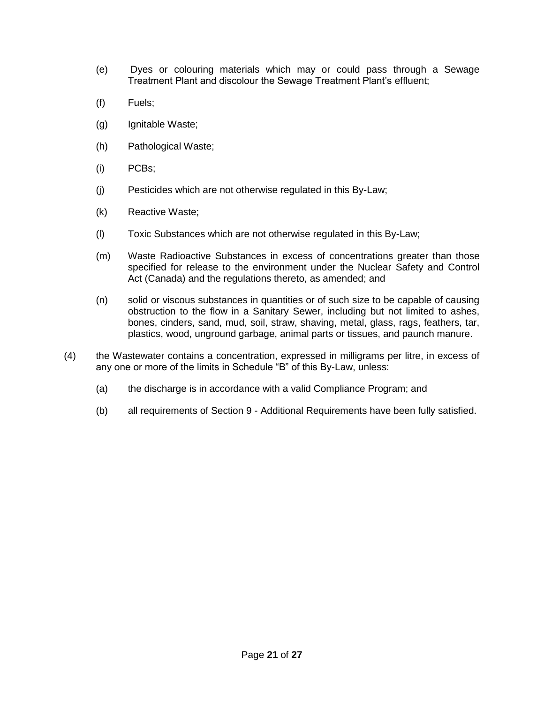- (e) Dyes or colouring materials which may or could pass through a Sewage Treatment Plant and discolour the Sewage Treatment Plant's effluent;
- (f) Fuels;
- (g) Ignitable Waste;
- (h) Pathological Waste;
- (i) PCBs;
- (j) Pesticides which are not otherwise regulated in this By-Law;
- (k) Reactive Waste;
- (l) Toxic Substances which are not otherwise regulated in this By-Law;
- (m) Waste Radioactive Substances in excess of concentrations greater than those specified for release to the environment under the Nuclear Safety and Control Act (Canada) and the regulations thereto, as amended; and
- (n) solid or viscous substances in quantities or of such size to be capable of causing obstruction to the flow in a Sanitary Sewer, including but not limited to ashes, bones, cinders, sand, mud, soil, straw, shaving, metal, glass, rags, feathers, tar, plastics, wood, unground garbage, animal parts or tissues, and paunch manure.
- (4) the Wastewater contains a concentration, expressed in milligrams per litre, in excess of any one or more of the limits in Schedule "B" of this By-Law, unless:
	- (a) the discharge is in accordance with a valid Compliance Program; and
	- (b) all requirements of Section 9 Additional Requirements have been fully satisfied.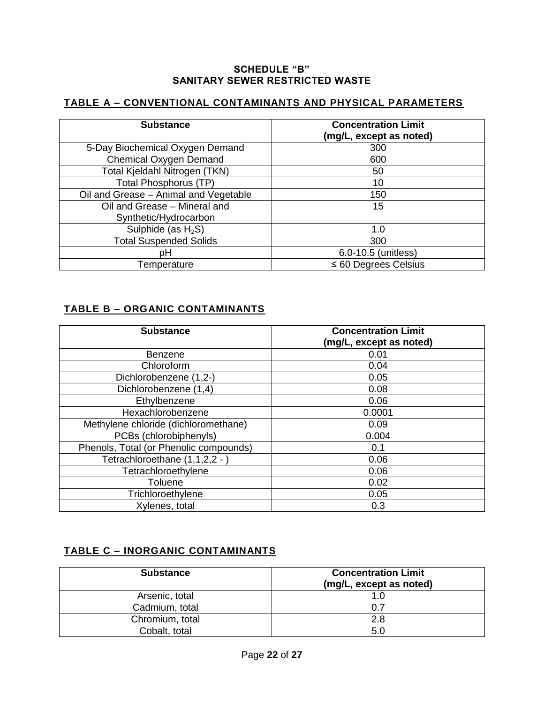#### **SCHEDULE "B" SANITARY SEWER RESTRICTED WASTE**

# **TABLE A – CONVENTIONAL CONTAMINANTS AND PHYSICAL PARAMETERS**

| <b>Substance</b>                      | <b>Concentration Limit</b><br>(mg/L, except as noted) |
|---------------------------------------|-------------------------------------------------------|
| 5-Day Biochemical Oxygen Demand       | 300                                                   |
| <b>Chemical Oxygen Demand</b>         | 600                                                   |
| Total Kjeldahl Nitrogen (TKN)         | 50                                                    |
| <b>Total Phosphorus (TP)</b>          | 10                                                    |
| Oil and Grease - Animal and Vegetable | 150                                                   |
| Oil and Grease - Mineral and          | 15                                                    |
| Synthetic/Hydrocarbon                 |                                                       |
| Sulphide (as $H_2S$ )                 | 1.0                                                   |
| <b>Total Suspended Solids</b>         | 300                                                   |
| pН                                    | 6.0-10.5 (unitless)                                   |
| Temperature                           | $\leq 60$ Degrees Celsius                             |

# **TABLE B – ORGANIC CONTAMINANTS**

| <b>Substance</b>                       | <b>Concentration Limit</b><br>(mg/L, except as noted) |
|----------------------------------------|-------------------------------------------------------|
| Benzene                                | 0.01                                                  |
| Chloroform                             | 0.04                                                  |
| Dichlorobenzene (1,2-)                 | 0.05                                                  |
| Dichlorobenzene (1,4)                  | 0.08                                                  |
| Ethylbenzene                           | 0.06                                                  |
| Hexachlorobenzene                      | 0.0001                                                |
| Methylene chloride (dichloromethane)   | 0.09                                                  |
| PCBs (chlorobiphenyls)                 | 0.004                                                 |
| Phenols, Total (or Phenolic compounds) | 0.1                                                   |
| Tetrachloroethane (1,1,2,2 - )         | 0.06                                                  |
| Tetrachloroethylene                    | 0.06                                                  |
| Toluene                                | 0.02                                                  |
| Trichloroethylene                      | 0.05                                                  |
| Xylenes, total                         | 0.3                                                   |

# **TABLE C – INORGANIC CONTAMINANTS**

| <b>Substance</b> | <b>Concentration Limit</b><br>(mg/L, except as noted) |
|------------------|-------------------------------------------------------|
| Arsenic, total   | 1.0                                                   |
| Cadmium, total   | 0.7                                                   |
| Chromium, total  | 2.8                                                   |
| Cobalt, total    | .5.C                                                  |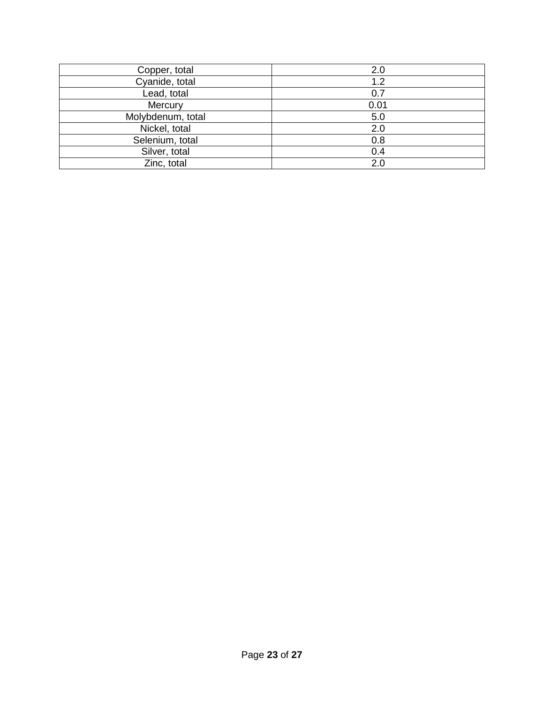| Copper, total     | 2.0  |
|-------------------|------|
| Cyanide, total    | 1.2  |
| Lead, total       | 0.7  |
| Mercury           | 0.01 |
| Molybdenum, total | 5.0  |
| Nickel, total     | 2.0  |
| Selenium, total   | 0.8  |
| Silver, total     | 0.4  |
| Zinc, total       | 2.0  |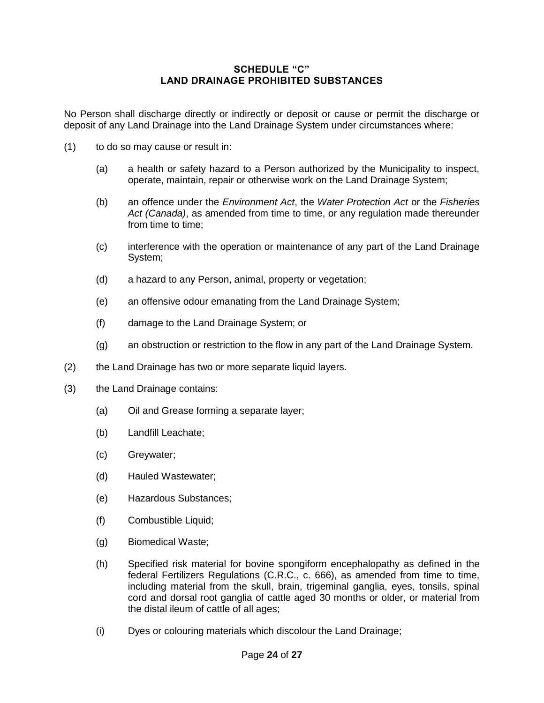## **SCHEDULE "C" LAND DRAINAGE PROHIBITED SUBSTANCES**

No Person shall discharge directly or indirectly or deposit or cause or permit the discharge or deposit of any Land Drainage into the Land Drainage System under circumstances where:

- (1) to do so may cause or result in:
	- (a) a health or safety hazard to a Person authorized by the Municipality to inspect, operate, maintain, repair or otherwise work on the Land Drainage System;
	- (b) an offence under the *Environment Act*, the *Water Protection Act* or the *Fisheries Act (Canada)*, as amended from time to time, or any regulation made thereunder from time to time;
	- (c) interference with the operation or maintenance of any part of the Land Drainage System;
	- (d) a hazard to any Person, animal, property or vegetation;
	- (e) an offensive odour emanating from the Land Drainage System;
	- (f) damage to the Land Drainage System; or
	- (g) an obstruction or restriction to the flow in any part of the Land Drainage System.
- (2) the Land Drainage has two or more separate liquid layers.
- (3) the Land Drainage contains:
	- (a) Oil and Grease forming a separate layer;
	- (b) Landfill Leachate;
	- (c) Greywater;
	- (d) Hauled Wastewater;
	- (e) Hazardous Substances;
	- (f) Combustible Liquid;
	- (g) Biomedical Waste;
	- (h) Specified risk material for bovine spongiform encephalopathy as defined in the federal Fertilizers Regulations (C.R.C., c. 666), as amended from time to time, including material from the skull, brain, trigeminal ganglia, eyes, tonsils, spinal cord and dorsal root ganglia of cattle aged 30 months or older, or material from the distal ileum of cattle of all ages;
	- (i) Dyes or colouring materials which discolour the Land Drainage;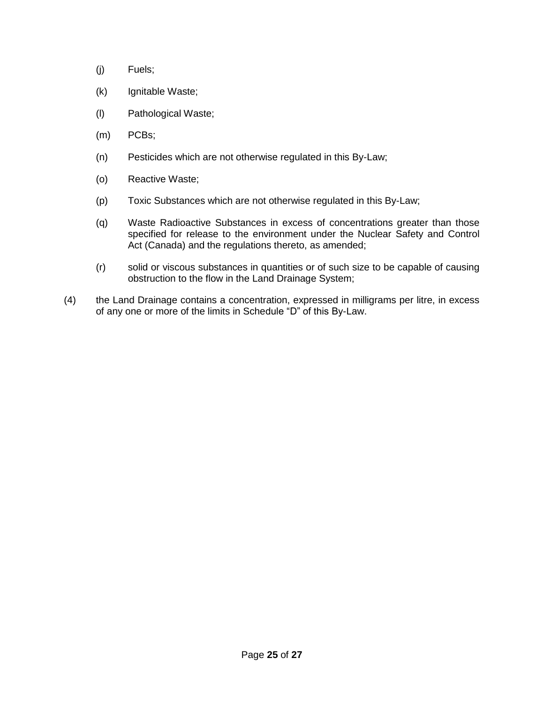- (j) Fuels;
- (k) Ignitable Waste;
- (l) Pathological Waste;
- (m) PCBs;
- (n) Pesticides which are not otherwise regulated in this By-Law;
- (o) Reactive Waste;
- (p) Toxic Substances which are not otherwise regulated in this By-Law;
- (q) Waste Radioactive Substances in excess of concentrations greater than those specified for release to the environment under the Nuclear Safety and Control Act (Canada) and the regulations thereto, as amended;
- (r) solid or viscous substances in quantities or of such size to be capable of causing obstruction to the flow in the Land Drainage System;
- (4) the Land Drainage contains a concentration, expressed in milligrams per litre, in excess of any one or more of the limits in Schedule "D" of this By-Law.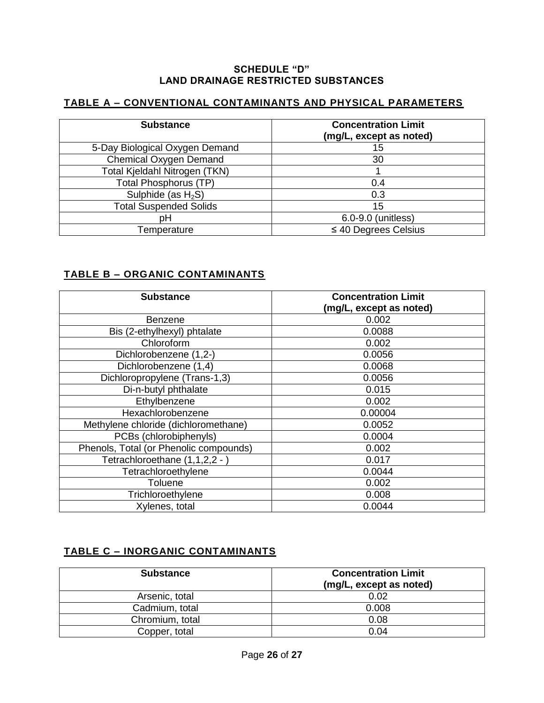#### **SCHEDULE "D" LAND DRAINAGE RESTRICTED SUBSTANCES**

# **TABLE A – CONVENTIONAL CONTAMINANTS AND PHYSICAL PARAMETERS**

| <b>Substance</b>               | <b>Concentration Limit</b><br>(mg/L, except as noted) |
|--------------------------------|-------------------------------------------------------|
| 5-Day Biological Oxygen Demand | 15                                                    |
| <b>Chemical Oxygen Demand</b>  | 30                                                    |
| Total Kjeldahl Nitrogen (TKN)  |                                                       |
| <b>Total Phosphorus (TP)</b>   | 0.4                                                   |
| Sulphide (as $H_2S$ )          | 0.3                                                   |
| <b>Total Suspended Solids</b>  | 15                                                    |
| рH                             | 6.0-9.0 (unitless)                                    |
| Temperature                    | $\leq$ 40 Degrees Celsius                             |

# **TABLE B – ORGANIC CONTAMINANTS**

| <b>Substance</b>                       | <b>Concentration Limit</b><br>(mg/L, except as noted) |
|----------------------------------------|-------------------------------------------------------|
| <b>Benzene</b>                         | 0.002                                                 |
| Bis (2-ethylhexyl) phtalate            | 0.0088                                                |
| Chloroform                             | 0.002                                                 |
| Dichlorobenzene (1,2-)                 | 0.0056                                                |
| Dichlorobenzene (1,4)                  | 0.0068                                                |
| Dichloropropylene (Trans-1,3)          | 0.0056                                                |
| Di-n-butyl phthalate                   | 0.015                                                 |
| Ethylbenzene                           | 0.002                                                 |
| Hexachlorobenzene                      | 0.00004                                               |
| Methylene chloride (dichloromethane)   | 0.0052                                                |
| PCBs (chlorobiphenyls)                 | 0.0004                                                |
| Phenols, Total (or Phenolic compounds) | 0.002                                                 |
| Tetrachloroethane (1,1,2,2 - )         | 0.017                                                 |
| Tetrachloroethylene                    | 0.0044                                                |
| Toluene                                | 0.002                                                 |
| Trichloroethylene                      | 0.008                                                 |
| Xylenes, total                         | 0.0044                                                |

# **TABLE C – INORGANIC CONTAMINANTS**

| <b>Substance</b> | <b>Concentration Limit</b><br>(mg/L, except as noted) |
|------------------|-------------------------------------------------------|
| Arsenic, total   | 0.02                                                  |
| Cadmium, total   | 0.008                                                 |
| Chromium, total  | 0.08                                                  |
| Copper, total    | 0.04                                                  |